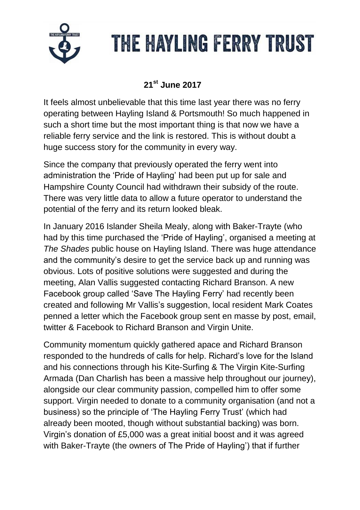

#### **21st June 2017**

It feels almost unbelievable that this time last year there was no ferry operating between Hayling Island & Portsmouth! So much happened in such a short time but the most important thing is that now we have a reliable ferry service and the link is restored. This is without doubt a huge success story for the community in every way.

Since the company that previously operated the ferry went into administration the 'Pride of Hayling' had been put up for sale and Hampshire County Council had withdrawn their subsidy of the route. There was very little data to allow a future operator to understand the potential of the ferry and its return looked bleak.

In January 2016 Islander Sheila Mealy, along with Baker-Trayte (who had by this time purchased the 'Pride of Hayling', organised a meeting at *The Shades* public house on Hayling Island. There was huge attendance and the community's desire to get the service back up and running was obvious. Lots of positive solutions were suggested and during the meeting, Alan Vallis suggested contacting Richard Branson. A new Facebook group called 'Save The Hayling Ferry' had recently been created and following Mr Vallis's suggestion, local resident Mark Coates penned a letter which the Facebook group sent en masse by post, email, twitter & Facebook to Richard Branson and Virgin Unite.

Community momentum quickly gathered apace and Richard Branson responded to the hundreds of calls for help. Richard's love for the Island and his connections through his Kite-Surfing & The Virgin Kite-Surfing Armada (Dan Charlish has been a massive help throughout our journey), alongside our clear community passion, compelled him to offer some support. Virgin needed to donate to a community organisation (and not a business) so the principle of 'The Hayling Ferry Trust' (which had already been mooted, though without substantial backing) was born. Virgin's donation of £5,000 was a great initial boost and it was agreed with Baker-Trayte (the owners of The Pride of Hayling') that if further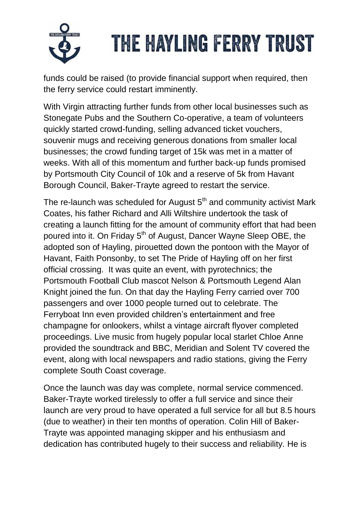

funds could be raised (to provide financial support when required, then the ferry service could restart imminently.

With Virgin attracting further funds from other local businesses such as Stonegate Pubs and the Southern Co-operative, a team of volunteers quickly started crowd-funding, selling advanced ticket vouchers, souvenir mugs and receiving generous donations from smaller local businesses; the crowd funding target of 15k was met in a matter of weeks. With all of this momentum and further back-up funds promised by Portsmouth City Council of 10k and a reserve of 5k from Havant Borough Council, Baker-Trayte agreed to restart the service.

The re-launch was scheduled for August  $5<sup>th</sup>$  and community activist Mark Coates, his father Richard and Alli Wiltshire undertook the task of creating a launch fitting for the amount of community effort that had been poured into it. On Friday 5<sup>th</sup> of August, Dancer Wayne Sleep OBE, the adopted son of Hayling, pirouetted down the pontoon with the Mayor of Havant, Faith Ponsonby, to set The Pride of Hayling off on her first official crossing. It was quite an event, with pyrotechnics; the Portsmouth Football Club mascot Nelson & Portsmouth Legend Alan Knight joined the fun. On that day the Hayling Ferry carried over 700 passengers and over 1000 people turned out to celebrate. The Ferryboat Inn even provided children's entertainment and free champagne for onlookers, whilst a vintage aircraft flyover completed proceedings. Live music from hugely popular local starlet Chloe Anne provided the soundtrack and BBC, Meridian and Solent TV covered the event, along with local newspapers and radio stations, giving the Ferry complete South Coast coverage.

Once the launch was day was complete, normal service commenced. Baker-Trayte worked tirelessly to offer a full service and since their launch are very proud to have operated a full service for all but 8.5 hours (due to weather) in their ten months of operation. Colin Hill of Baker-Trayte was appointed managing skipper and his enthusiasm and dedication has contributed hugely to their success and reliability. He is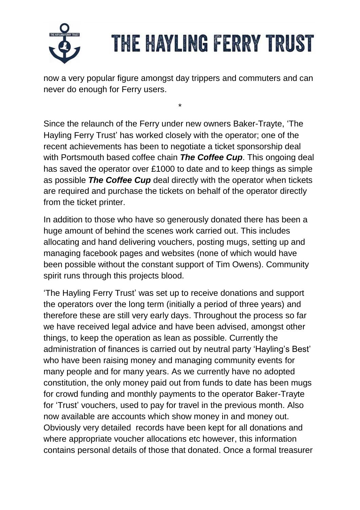

now a very popular figure amongst day trippers and commuters and can never do enough for Ferry users.

\*

Since the relaunch of the Ferry under new owners Baker-Trayte, 'The Hayling Ferry Trust' has worked closely with the operator; one of the recent achievements has been to negotiate a ticket sponsorship deal with Portsmouth based coffee chain *The Coffee Cup*. This ongoing deal has saved the operator over £1000 to date and to keep things as simple as possible *The Coffee Cup* deal directly with the operator when tickets are required and purchase the tickets on behalf of the operator directly from the ticket printer.

In addition to those who have so generously donated there has been a huge amount of behind the scenes work carried out. This includes allocating and hand delivering vouchers, posting mugs, setting up and managing facebook pages and websites (none of which would have been possible without the constant support of Tim Owens). Community spirit runs through this projects blood.

'The Hayling Ferry Trust' was set up to receive donations and support the operators over the long term (initially a period of three years) and therefore these are still very early days. Throughout the process so far we have received legal advice and have been advised, amongst other things, to keep the operation as lean as possible. Currently the administration of finances is carried out by neutral party 'Hayling's Best' who have been raising money and managing community events for many people and for many years. As we currently have no adopted constitution, the only money paid out from funds to date has been mugs for crowd funding and monthly payments to the operator Baker-Trayte for 'Trust' vouchers, used to pay for travel in the previous month. Also now available are accounts which show money in and money out. Obviously very detailed records have been kept for all donations and where appropriate voucher allocations etc however, this information contains personal details of those that donated. Once a formal treasurer